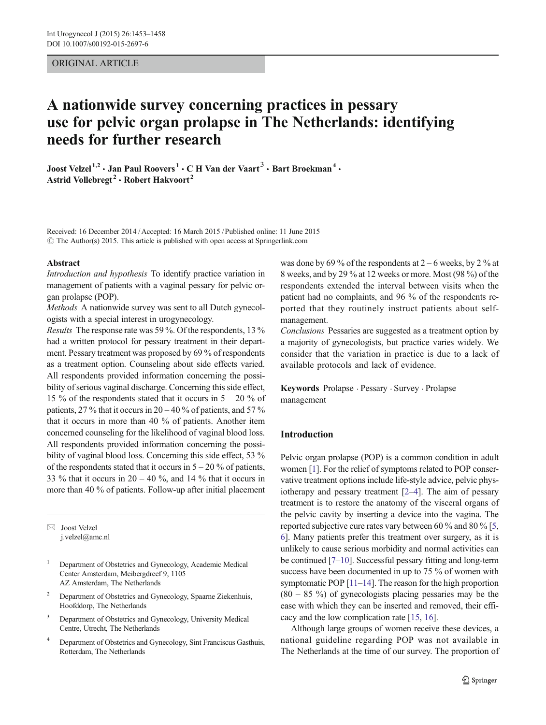## ORIGINAL ARTICLE

# A nationwide survey concerning practices in pessary use for pelvic organ prolapse in The Netherlands: identifying needs for further research

Joost Velzel <sup>1,2</sup>  $\cdot$  Jan Paul Roovers  $\cdot$  C H Van der Vaart  $\cdot$  Bart Broekman  $\cdot$ Astrid Vollebregt<sup>2</sup>  $\cdot$  Robert Hakvoort<sup>2</sup>

Received: 16 December 2014 /Accepted: 16 March 2015 /Published online: 11 June 2015  $\odot$  The Author(s) 2015. This article is published with open access at Springerlink.com

#### Abstract

Introduction and hypothesis To identify practice variation in management of patients with a vaginal pessary for pelvic organ prolapse (POP).

Methods A nationwide survey was sent to all Dutch gynecologists with a special interest in urogynecology.

Results The response rate was 59 %. Of the respondents, 13 % had a written protocol for pessary treatment in their department. Pessary treatment was proposed by 69 % of respondents as a treatment option. Counseling about side effects varied. All respondents provided information concerning the possibility of serious vaginal discharge. Concerning this side effect, 15 % of the respondents stated that it occurs in  $5 - 20$  % of patients, 27 % that it occurs in  $20 - 40$  % of patients, and 57 % that it occurs in more than 40 % of patients. Another item concerned counseling for the likelihood of vaginal blood loss. All respondents provided information concerning the possibility of vaginal blood loss. Concerning this side effect, 53 % of the respondents stated that it occurs in  $5 - 20$  % of patients, 33 % that it occurs in  $20 - 40$  %, and 14 % that it occurs in more than 40 % of patients. Follow-up after initial placement

 $\boxtimes$  Joost Velzel j.velzel@amc.nl

- <sup>2</sup> Department of Obstetrics and Gynecology, Spaarne Ziekenhuis, Hoofddorp, The Netherlands
- <sup>3</sup> Department of Obstetrics and Gynecology, University Medical Centre, Utrecht, The Netherlands
- <sup>4</sup> Department of Obstetrics and Gynecology, Sint Franciscus Gasthuis, Rotterdam, The Netherlands

was done by 69 % of the respondents at  $2 - 6$  weeks, by 2 % at 8 weeks, and by 29 % at 12 weeks or more. Most (98 %) of the respondents extended the interval between visits when the patient had no complaints, and 96 % of the respondents reported that they routinely instruct patients about selfmanagement.

Conclusions Pessaries are suggested as a treatment option by a majority of gynecologists, but practice varies widely. We consider that the variation in practice is due to a lack of available protocols and lack of evidence.

Keywords Prolapse . Pessary . Survey . Prolapse management

## Introduction

Pelvic organ prolapse (POP) is a common condition in adult women [\[1](#page-5-0)]. For the relief of symptoms related to POP conservative treatment options include life-style advice, pelvic physiotherapy and pessary treatment [\[2](#page-5-0)–[4](#page-5-0)]. The aim of pessary treatment is to restore the anatomy of the visceral organs of the pelvic cavity by inserting a device into the vagina. The reported subjective cure rates vary between 60 % and 80 % [[5,](#page-5-0) [6\]](#page-5-0). Many patients prefer this treatment over surgery, as it is unlikely to cause serious morbidity and normal activities can be continued [\[7](#page-5-0)–[10](#page-5-0)]. Successful pessary fitting and long-term success have been documented in up to 75 % of women with symptomatic POP [\[11](#page-5-0)–[14](#page-5-0)]. The reason for the high proportion  $(80 - 85 \%)$  of gynecologists placing pessaries may be the ease with which they can be inserted and removed, their efficacy and the low complication rate [\[15,](#page-5-0) [16\]](#page-5-0).

Although large groups of women receive these devices, a national guideline regarding POP was not available in The Netherlands at the time of our survey. The proportion of

<sup>&</sup>lt;sup>1</sup> Department of Obstetrics and Gynecology, Academic Medical Center Amsterdam, Meibergdreef 9, 1105 AZ Amsterdam, The Netherlands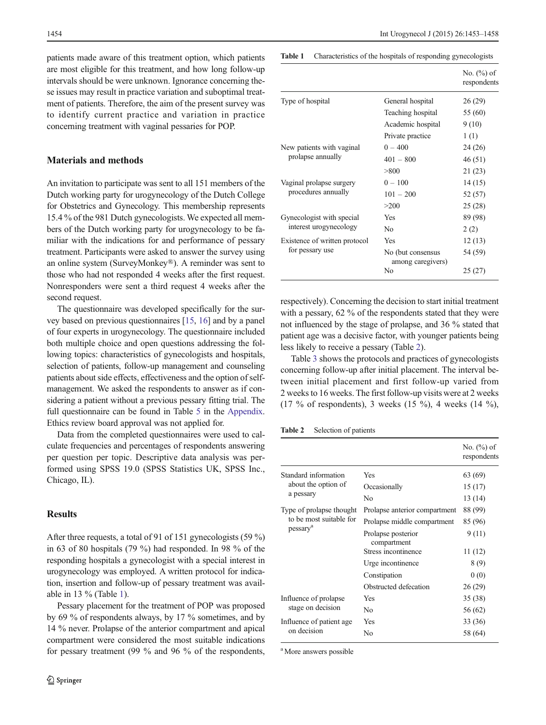patients made aware of this treatment option, which patients are most eligible for this treatment, and how long follow-up intervals should be were unknown. Ignorance concerning these issues may result in practice variation and suboptimal treatment of patients. Therefore, the aim of the present survey was to identify current practice and variation in practice concerning treatment with vaginal pessaries for POP.

## Materials and methods

An invitation to participate was sent to all 151 members of the Dutch working party for urogynecology of the Dutch College for Obstetrics and Gynecology. This membership represents 15.4 % of the 981 Dutch gynecologists. We expected all members of the Dutch working party for urogynecology to be familiar with the indications for and performance of pessary treatment. Participants were asked to answer the survey using an online system (SurveyMonkey®). A reminder was sent to those who had not responded 4 weeks after the first request. Nonresponders were sent a third request 4 weeks after the second request.

The questionnaire was developed specifically for the survey based on previous questionnaires [\[15,](#page-5-0) [16\]](#page-5-0) and by a panel of four experts in urogynecology. The questionnaire included both multiple choice and open questions addressing the following topics: characteristics of gynecologists and hospitals, selection of patients, follow-up management and counseling patients about side effects, effectiveness and the option of selfmanagement. We asked the respondents to answer as if considering a patient without a previous pessary fitting trial. The full questionnaire can be found in Table [5](#page-4-0) in the [Appendix.](#page-4-0) Ethics review board approval was not applied for.

Data from the completed questionnaires were used to calculate frequencies and percentages of respondents answering per question per topic. Descriptive data analysis was performed using SPSS 19.0 (SPSS Statistics UK, SPSS Inc., Chicago, IL).

#### **Results**

After three requests, a total of 91 of 151 gynecologists (59 %) in 63 of 80 hospitals (79 %) had responded. In 98 % of the responding hospitals a gynecologist with a special interest in urogynecology was employed. A written protocol for indication, insertion and follow-up of pessary treatment was available in 13 % (Table 1).

Pessary placement for the treatment of POP was proposed by 69 % of respondents always, by 17 % sometimes, and by 14 % never. Prolapse of the anterior compartment and apical compartment were considered the most suitable indications for pessary treatment (99 % and 96 % of the respondents, Table 1 Characteristics of the hospitals of responding gynecologists

|                                                     |                                         | No. $(\%)$ of<br>respondents |
|-----------------------------------------------------|-----------------------------------------|------------------------------|
| Type of hospital                                    | General hospital                        | 26(29)                       |
|                                                     | Teaching hospital                       | 55 (60)                      |
|                                                     | Academic hospital                       | 9(10)                        |
|                                                     | Private practice                        | 1(1)                         |
| New patients with vaginal<br>prolapse annually      | $0 - 400$                               | 24 (26)                      |
|                                                     | $401 - 800$                             | 46(51)                       |
|                                                     | > 800                                   | 21 (23)                      |
| Vaginal prolapse surgery<br>procedures annually     | $0 - 100$                               | 14(15)                       |
|                                                     | $101 - 200$                             | 52 (57)                      |
|                                                     | >200                                    | 25(28)                       |
| Gynecologist with special<br>interest urogynecology | <b>Yes</b>                              | 89 (98)                      |
|                                                     | N <sub>0</sub>                          | 2(2)                         |
| Existence of written protocol<br>for pessary use    | Yes                                     | 12(13)                       |
|                                                     | No (but consensus)<br>among caregivers) | 54 (59)                      |
|                                                     | N <sub>0</sub>                          | 25(27)                       |

respectively). Concerning the decision to start initial treatment with a pessary, 62 % of the respondents stated that they were not influenced by the stage of prolapse, and 36 % stated that patient age was a decisive factor, with younger patients being less likely to receive a pessary (Table 2).

Table [3](#page-2-0) shows the protocols and practices of gynecologists concerning follow-up after initial placement. The interval between initial placement and first follow-up varied from 2 weeks to 16 weeks. The first follow-up visits were at 2 weeks (17 % of respondents), 3 weeks (15 %), 4 weeks (14 %),

Table 2 Selection of patients

|                                                                             |                                   | No. $(\%)$ of<br>respondents |
|-----------------------------------------------------------------------------|-----------------------------------|------------------------------|
| Standard information<br>about the option of<br>a pessary                    | Yes                               | 63 (69)                      |
|                                                                             | Occasionally                      | 15 (17)                      |
|                                                                             | No                                | 13 (14)                      |
| Type of prolapse thought<br>to be most suitable for<br>pessary <sup>a</sup> | Prolapse anterior compartment     | 88 (99)                      |
|                                                                             | Prolapse middle compartment       | 85 (96)                      |
|                                                                             | Prolapse posterior<br>compartment | 9(11)                        |
|                                                                             | Stress incontinence               | 11 (12)                      |
|                                                                             | Urge incontinence                 | 8(9)                         |
|                                                                             | Constipation                      | 0(0)                         |
|                                                                             | Obstructed defecation             | 26(29)                       |
| Influence of prolapse<br>stage on decision                                  | Yes                               | 35 (38)                      |
|                                                                             | No                                | 56 (62)                      |
| Influence of patient age<br>on decision                                     | Yes                               | 33 (36)                      |
|                                                                             | No                                | 58 (64)                      |

<sup>a</sup> More answers possible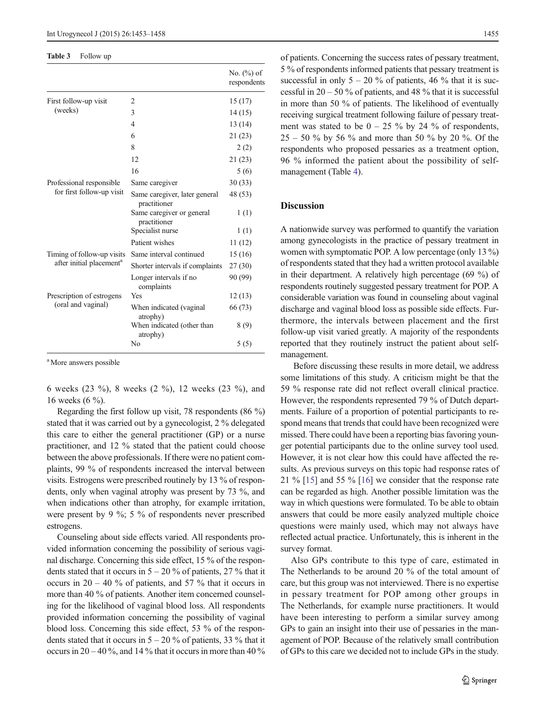#### <span id="page-2-0"></span>Table 3 Follow up

|                                                                    |                                               | No. $(\%)$ of<br>respondents |
|--------------------------------------------------------------------|-----------------------------------------------|------------------------------|
| First follow-up visit                                              | 2                                             | 15(17)                       |
| (weeks)                                                            | 3                                             | 14 (15)                      |
|                                                                    | 4                                             | 13(14)                       |
|                                                                    | 6                                             | 21(23)                       |
|                                                                    | 8                                             | 2(2)                         |
|                                                                    | 12                                            | 21 (23)                      |
|                                                                    | 16                                            | 5(6)                         |
| Professional responsible<br>for first follow-up visit              | Same caregiver                                | 30(33)                       |
|                                                                    | Same caregiver, later general<br>practitioner | 48 (53)                      |
|                                                                    | Same caregiver or general<br>practitioner     | 1(1)                         |
|                                                                    | Specialist nurse                              | 1(1)                         |
|                                                                    | Patient wishes                                | 11(12)                       |
| Timing of follow-up visits<br>after initial placement <sup>a</sup> | Same interval continued                       | 15 (16)                      |
|                                                                    | Shorter intervals if complaints               | 27(30)                       |
|                                                                    | Longer intervals if no<br>complaints          | 90 (99)                      |
| Prescription of estrogens<br>(oral and vaginal)                    | Yes                                           | 12(13)                       |
|                                                                    | When indicated (vaginal<br>atrophy)           | 66 (73)                      |
|                                                                    | When indicated (other than<br>atrophy)        | 8 (9)                        |
|                                                                    | No                                            | 5(5)                         |

<sup>a</sup> More answers possible

6 weeks (23 %), 8 weeks (2 %), 12 weeks (23 %), and 16 weeks (6 %).

Regarding the first follow up visit, 78 respondents (86 %) stated that it was carried out by a gynecologist, 2 % delegated this care to either the general practitioner (GP) or a nurse practitioner, and 12 % stated that the patient could choose between the above professionals. If there were no patient complaints, 99 % of respondents increased the interval between visits. Estrogens were prescribed routinely by 13 % of respondents, only when vaginal atrophy was present by 73 %, and when indications other than atrophy, for example irritation, were present by 9 %; 5 % of respondents never prescribed estrogens.

Counseling about side effects varied. All respondents provided information concerning the possibility of serious vaginal discharge. Concerning this side effect, 15 % of the respondents stated that it occurs in  $5 - 20\%$  of patients, 27% that it occurs in  $20 - 40$  % of patients, and 57 % that it occurs in more than 40 % of patients. Another item concerned counseling for the likelihood of vaginal blood loss. All respondents provided information concerning the possibility of vaginal blood loss. Concerning this side effect, 53 % of the respondents stated that it occurs in  $5 - 20\%$  of patients, 33 % that it occurs in  $20 - 40$ %, and  $14$ % that it occurs in more than  $40$ % of patients. Concerning the success rates of pessary treatment, 5 % of respondents informed patients that pessary treatment is successful in only  $5 - 20\%$  of patients, 46 % that it is successful in  $20 - 50$  % of patients, and 48 % that it is successful in more than 50 % of patients. The likelihood of eventually receiving surgical treatment following failure of pessary treatment was stated to be  $0 - 25$  % by 24 % of respondents,  $25 - 50$  % by 56 % and more than 50 % by 20 %. Of the respondents who proposed pessaries as a treatment option, 96 % informed the patient about the possibility of selfmanagement (Table [4](#page-3-0)).

## **Discussion**

A nationwide survey was performed to quantify the variation among gynecologists in the practice of pessary treatment in women with symptomatic POP. A low percentage (only 13 %) of respondents stated that they had a written protocol available in their department. A relatively high percentage (69 %) of respondents routinely suggested pessary treatment for POP. A considerable variation was found in counseling about vaginal discharge and vaginal blood loss as possible side effects. Furthermore, the intervals between placement and the first follow-up visit varied greatly. A majority of the respondents reported that they routinely instruct the patient about selfmanagement.

Before discussing these results in more detail, we address some limitations of this study. A criticism might be that the 59 % response rate did not reflect overall clinical practice. However, the respondents represented 79 % of Dutch departments. Failure of a proportion of potential participants to respond means that trends that could have been recognized were missed. There could have been a reporting bias favoring younger potential participants due to the online survey tool used. However, it is not clear how this could have affected the results. As previous surveys on this topic had response rates of 21 % [\[15](#page-5-0)] and 55 % [\[16\]](#page-5-0) we consider that the response rate can be regarded as high. Another possible limitation was the way in which questions were formulated. To be able to obtain answers that could be more easily analyzed multiple choice questions were mainly used, which may not always have reflected actual practice. Unfortunately, this is inherent in the survey format.

Also GPs contribute to this type of care, estimated in The Netherlands to be around 20 % of the total amount of care, but this group was not interviewed. There is no expertise in pessary treatment for POP among other groups in The Netherlands, for example nurse practitioners. It would have been interesting to perform a similar survey among GPs to gain an insight into their use of pessaries in the management of POP. Because of the relatively small contribution of GPs to this care we decided not to include GPs in the study.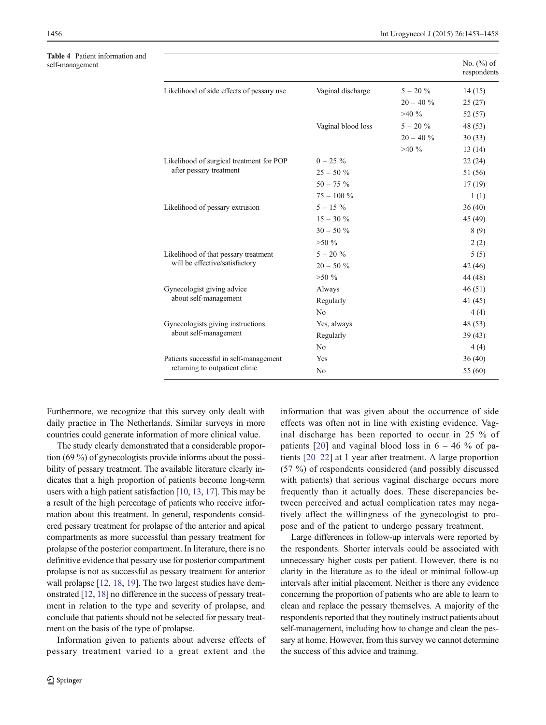<span id="page-3-0"></span>Table 4 Patient information and<br>self-management

| <b>Table 4</b> Patient information and<br>self-management |                                                                          |                    |              | No. $(\%)$ of<br>respondents |
|-----------------------------------------------------------|--------------------------------------------------------------------------|--------------------|--------------|------------------------------|
|                                                           | Likelihood of side effects of pessary use                                | Vaginal discharge  | $5 - 20 \%$  | 14(15)                       |
|                                                           |                                                                          |                    | $20 - 40 \%$ | 25(27)                       |
|                                                           |                                                                          |                    | $>40\%$      | 52(57)                       |
|                                                           |                                                                          | Vaginal blood loss | $5 - 20 \%$  | 48 (53)                      |
|                                                           |                                                                          |                    | $20 - 40 \%$ | 30(33)                       |
|                                                           |                                                                          |                    | $>40\%$      | 13(14)                       |
|                                                           | Likelihood of surgical treatment for POP                                 | $0 - 25\%$         |              | 22(24)                       |
|                                                           | after pessary treatment                                                  | $25 - 50 \%$       |              | 51 (56)                      |
|                                                           |                                                                          | $50 - 75 %$        |              | 17(19)                       |
|                                                           |                                                                          | $75 - 100 %$       |              | 1(1)                         |
|                                                           | Likelihood of pessary extrusion                                          | $5 - 15\%$         |              | 36(40)                       |
|                                                           |                                                                          | $15 - 30 \%$       |              | 45 (49)                      |
|                                                           |                                                                          | $30 - 50 %$        |              | 8(9)                         |
|                                                           |                                                                          | $>50\%$            |              | 2(2)                         |
|                                                           | Likelihood of that pessary treatment<br>will be effective/satisfactory   | $5 - 20 \%$        |              | 5(5)                         |
|                                                           |                                                                          | $20 - 50 \%$       |              | 42(46)                       |
|                                                           |                                                                          | $>50\%$            |              | 44 (48)                      |
|                                                           | Gynecologist giving advice<br>about self-management                      | Always             |              | 46(51)                       |
|                                                           |                                                                          | Regularly          |              | 41(45)                       |
|                                                           |                                                                          | No                 |              | 4(4)                         |
|                                                           | Gynecologists giving instructions<br>about self-management               | Yes, always        |              | 48 (53)                      |
|                                                           |                                                                          | Regularly          |              | 39(43)                       |
|                                                           |                                                                          | No                 |              | 4(4)                         |
|                                                           | Patients successful in self-management<br>returning to outpatient clinic | Yes                |              | 36(40)                       |
|                                                           |                                                                          | No                 |              | 55 (60)                      |

Furthermore, we recognize that this survey only dealt with daily practice in The Netherlands. Similar surveys in more countries could generate information of more clinical value.

The study clearly demonstrated that a considerable proportion (69 %) of gynecologists provide informs about the possibility of pessary treatment. The available literature clearly indicates that a high proportion of patients become long-term users with a high patient satisfaction [\[10](#page-5-0), [13,](#page-5-0) [17\]](#page-5-0). This may be a result of the high percentage of patients who receive information about this treatment. In general, respondents considered pessary treatment for prolapse of the anterior and apical compartments as more successful than pessary treatment for prolapse of the posterior compartment. In literature, there is no definitive evidence that pessary use for posterior compartment prolapse is not as successful as pessary treatment for anterior wall prolapse [[12](#page-5-0), [18](#page-5-0), [19\]](#page-5-0). The two largest studies have demonstrated [[12](#page-5-0), [18\]](#page-5-0) no difference in the success of pessary treatment in relation to the type and severity of prolapse, and conclude that patients should not be selected for pessary treatment on the basis of the type of prolapse.

Information given to patients about adverse effects of pessary treatment varied to a great extent and the

information that was given about the occurrence of side effects was often not in line with existing evidence. Vaginal discharge has been reported to occur in 25 % of patients [[20](#page-5-0)] and vaginal blood loss in  $6 - 46$  % of patients [\[20](#page-5-0)–[22\]](#page-5-0) at 1 year after treatment. A large proportion (57 %) of respondents considered (and possibly discussed with patients) that serious vaginal discharge occurs more frequently than it actually does. These discrepancies between perceived and actual complication rates may negatively affect the willingness of the gynecologist to propose and of the patient to undergo pessary treatment.

Large differences in follow-up intervals were reported by the respondents. Shorter intervals could be associated with unnecessary higher costs per patient. However, there is no clarity in the literature as to the ideal or minimal follow-up intervals after initial placement. Neither is there any evidence concerning the proportion of patients who are able to learn to clean and replace the pessary themselves. A majority of the respondents reported that they routinely instruct patients about self-management, including how to change and clean the pessary at home. However, from this survey we cannot determine the success of this advice and training.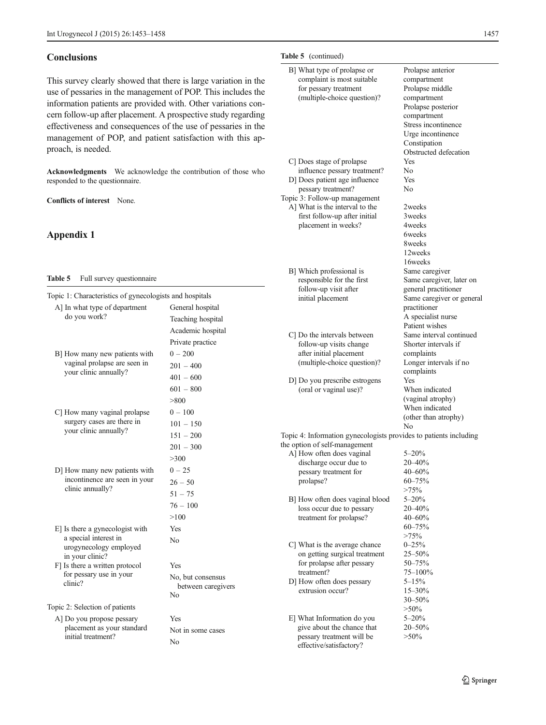## <span id="page-4-0"></span>**Conclusions**

This survey clearly showed that there is large variation in the use of pessaries in the management of POP. This includes the information patients are provided with. Other variations concern follow-up after placement. A prospective study regarding effectiveness and consequences of the use of pessaries in the management of POP, and patient satisfaction with this approach, is needed.

Acknowledgments We acknowledge the contribution of those who responded to the questionnaire.

Conflicts of interest None.

## Appendix 1

#### Table 5 Full survey questionnaire

| Topic 1: Characteristics of gynecologists and hospitals |                    |
|---------------------------------------------------------|--------------------|
| A] In what type of department                           | General hospital   |
| do you work?                                            | Teaching hospital  |
|                                                         | Academic hospital  |
|                                                         | Private practice   |
| B] How many new patients with                           | $0 - 200$          |
| vaginal prolapse are seen in                            | $201 - 400$        |
| your clinic annually?                                   | $401 - 600$        |
|                                                         | $601 - 800$        |
|                                                         | >800               |
| C] How many vaginal prolapse                            | $0 - 100$          |
| surgery cases are there in                              | $101 - 150$        |
| your clinic annually?                                   | $151 - 200$        |
|                                                         | $201 - 300$        |
|                                                         | >300               |
| D] How many new patients with                           | $0 - 25$           |
| incontinence are seen in your                           | $26 - 50$          |
| clinic annually?                                        | $51 - 75$          |
|                                                         | $76 - 100$         |
|                                                         | >100               |
| E] Is there a gynecologist with                         | Yes                |
| a special interest in                                   | No                 |
| urogynecology employed<br>in your clinic?               |                    |
| F] Is there a written protocol                          | Yes                |
| for pessary use in your                                 | No, but consensus  |
| clinic?                                                 | between caregivers |
|                                                         | No                 |
| Topic 2: Selection of patients                          |                    |
| A] Do you propose pessary<br>placement as your standard | Yes                |
| initial treatment?                                      | Not in some cases  |
|                                                         | No                 |
|                                                         |                    |

#### Table 5 (continued)

| B] What type of prolapse or |
|-----------------------------|
| complaint is most suitable  |
| for pessary treatment       |
| (multiple-choice question)? |
|                             |

| C] Does stage of prolapse     |
|-------------------------------|
| influence pessary treatment?  |
| D] Does patient age influence |

pessary treatment? Topic 3: Follow-up management

A] What is the interval to the first follow-up after initial placement in weeks?

- B] Which professional is responsible for the first follow-up visit after initial placement
- C] Do the intervals between follow-up visits change after initial placement (multiple-choice question)?
- D] Do you prescribe estrogens (oral or vaginal use)?

Same caregiver Same caregiver, later on general practitioner Same caregiver or general practitioner A specialist nurse Patient wishes Same interval continued Shorter intervals if complaints Longer intervals if no complaints Yes When indicated (vaginal atrophy) When indicated (other than atrophy)

Prolapse anterior compartment Prolapse middle compartment Prolapse posterior compartment Stress incontinence Urge incontinence Constipation Obstructed defecation

Yes No

Yes No

2weeks 3weeks 4weeks 6weeks 8weeks 12weeks 16weeks

Topic 4: Information gynecologists provides to patients including

No

| the option of self-management  |              |
|--------------------------------|--------------|
| A] How often does vaginal      | $5 - 20%$    |
| discharge occur due to         | $20 - 40%$   |
| pessary treatment for          | 40-60%       |
| prolapse?                      | $60 - 75%$   |
|                                | $>75\%$      |
| B How often does vaginal blood | $5 - 20%$    |
| loss occur due to pessary      | $20 - 40%$   |
| treatment for prolapse?        | $40 - 60%$   |
|                                | 60-75%       |
|                                | $>75\%$      |
| C] What is the average chance  | $0 - 25%$    |
| on getting surgical treatment  | $25 - 50%$   |
| for prolapse after pessary     | 50-75%       |
| treatment?                     | $75 - 100\%$ |
| D] How often does pessary      | $5 - 15%$    |
| extrusion occur?               | $15 - 30%$   |
|                                | 30-50%       |
|                                | $>50\%$      |
| E] What Information do you     | $5 - 20%$    |
| give about the chance that     | $20 - 50%$   |
| pessary treatment will be      | $>50\%$      |
| effective/satisfactory?        |              |
|                                |              |